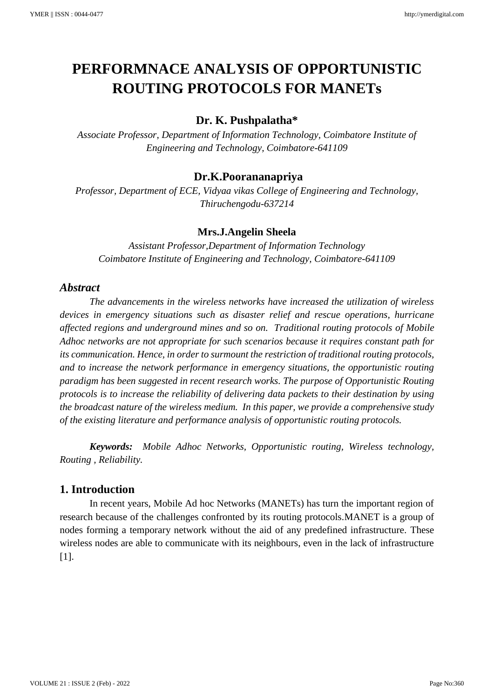# **PERFORMNACE ANALYSIS OF OPPORTUNISTIC ROUTING PROTOCOLS FOR MANETs**

# **Dr. K. Pushpalatha\***

*Associate Professor, Department of Information Technology, Coimbatore Institute of Engineering and Technology, Coimbatore-641109*

# **Dr.K.Poorananapriya**

*Professor, Department of ECE, Vidyaa vikas College of Engineering and Technology, Thiruchengodu-637214*

## **Mrs.J.Angelin Sheela**

*Assistant Professor,Department of Information Technology Coimbatore Institute of Engineering and Technology, Coimbatore-641109*

# *Abstract*

*The advancements in the wireless networks have increased the utilization of wireless devices in emergency situations such as disaster relief and rescue operations, hurricane affected regions and underground mines and so on. Traditional routing protocols of Mobile Adhoc networks are not appropriate for such scenarios because it requires constant path for its communication. Hence, in order to surmount the restriction of traditional routing protocols, and to increase the network performance in emergency situations, the opportunistic routing paradigm has been suggested in recent research works. The purpose of Opportunistic Routing protocols is to increase the reliability of delivering data packets to their destination by using the broadcast nature of the wireless medium. In this paper, we provide a comprehensive study of the existing literature and performance analysis of opportunistic routing protocols.*

*Keywords: Mobile Adhoc Networks, Opportunistic routing, Wireless technology, Routing , Reliability.*

# **1. Introduction**

In recent years, Mobile Ad hoc Networks (MANETs) has turn the important region of research because of the challenges confronted by its routing protocols.MANET is a group of nodes forming a temporary network without the aid of any predefined infrastructure. These wireless nodes are able to communicate with its neighbours, even in the lack of infrastructure [1].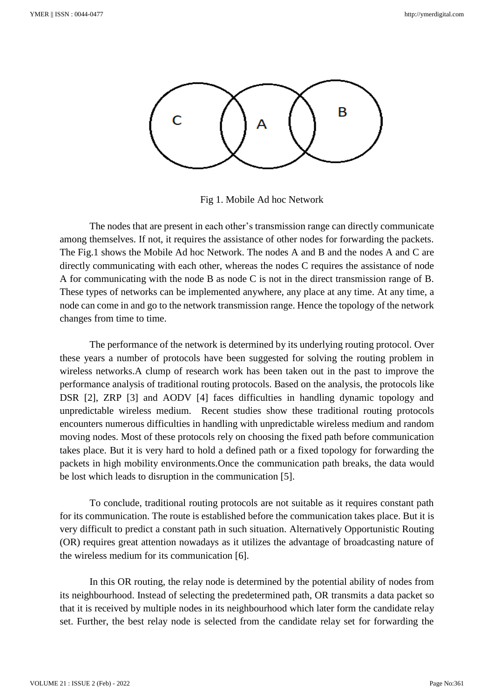

Fig 1. Mobile Ad hoc Network

The nodes that are present in each other's transmission range can directly communicate among themselves. If not, it requires the assistance of other nodes for forwarding the packets. The Fig.1 shows the Mobile Ad hoc Network. The nodes A and B and the nodes A and C are directly communicating with each other, whereas the nodes C requires the assistance of node A for communicating with the node B as node C is not in the direct transmission range of B. These types of networks can be implemented anywhere, any place at any time. At any time, a node can come in and go to the network transmission range. Hence the topology of the network changes from time to time.

The performance of the network is determined by its underlying routing protocol. Over these years a number of protocols have been suggested for solving the routing problem in wireless networks.A clump of research work has been taken out in the past to improve the performance analysis of traditional routing protocols. Based on the analysis, the protocols like DSR [2], ZRP [3] and AODV [4] faces difficulties in handling dynamic topology and unpredictable wireless medium. Recent studies show these traditional routing protocols encounters numerous difficulties in handling with unpredictable wireless medium and random moving nodes. Most of these protocols rely on choosing the fixed path before communication takes place. But it is very hard to hold a defined path or a fixed topology for forwarding the packets in high mobility environments.Once the communication path breaks, the data would be lost which leads to disruption in the communication [5].

To conclude, traditional routing protocols are not suitable as it requires constant path for its communication. The route is established before the communication takes place. But it is very difficult to predict a constant path in such situation. Alternatively Opportunistic Routing (OR) requires great attention nowadays as it utilizes the advantage of broadcasting nature of the wireless medium for its communication [6].

In this OR routing, the relay node is determined by the potential ability of nodes from its neighbourhood. Instead of selecting the predetermined path, OR transmits a data packet so that it is received by multiple nodes in its neighbourhood which later form the candidate relay set. Further, the best relay node is selected from the candidate relay set for forwarding the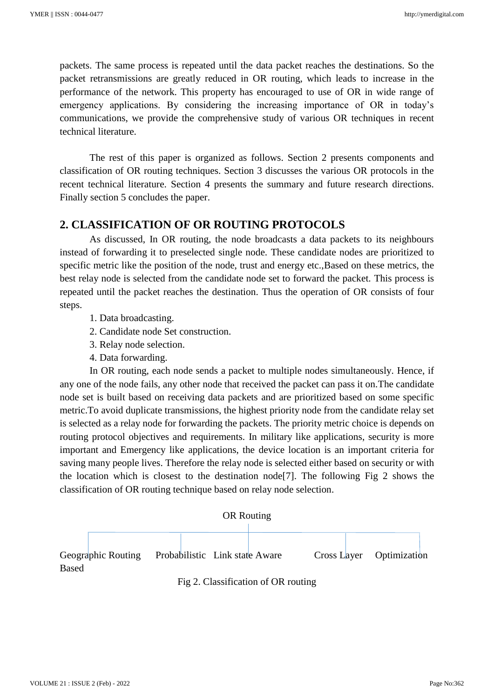packets. The same process is repeated until the data packet reaches the destinations. So the packet retransmissions are greatly reduced in OR routing, which leads to increase in the performance of the network. This property has encouraged to use of OR in wide range of emergency applications. By considering the increasing importance of OR in today's communications, we provide the comprehensive study of various OR techniques in recent technical literature.

The rest of this paper is organized as follows. Section 2 presents components and classification of OR routing techniques. Section 3 discusses the various OR protocols in the recent technical literature. Section 4 presents the summary and future research directions. Finally section 5 concludes the paper.

# **2. CLASSIFICATION OF OR ROUTING PROTOCOLS**

As discussed, In OR routing, the node broadcasts a data packets to its neighbours instead of forwarding it to preselected single node. These candidate nodes are prioritized to specific metric like the position of the node, trust and energy etc.,Based on these metrics, the best relay node is selected from the candidate node set to forward the packet. This process is repeated until the packet reaches the destination. Thus the operation of OR consists of four steps.

- 1. Data broadcasting.
- 2. Candidate node Set construction.
- 3. Relay node selection.
- 4. Data forwarding.

In OR routing, each node sends a packet to multiple nodes simultaneously. Hence, if any one of the node fails, any other node that received the packet can pass it on.The candidate node set is built based on receiving data packets and are prioritized based on some specific metric.To avoid duplicate transmissions, the highest priority node from the candidate relay set is selected as a relay node for forwarding the packets. The priority metric choice is depends on routing protocol objectives and requirements. In military like applications, security is more important and Emergency like applications, the device location is an important criteria for saving many people lives. Therefore the relay node is selected either based on security or with the location which is closest to the destination node[7]. The following Fig 2 shows the classification of OR routing technique based on relay node selection.



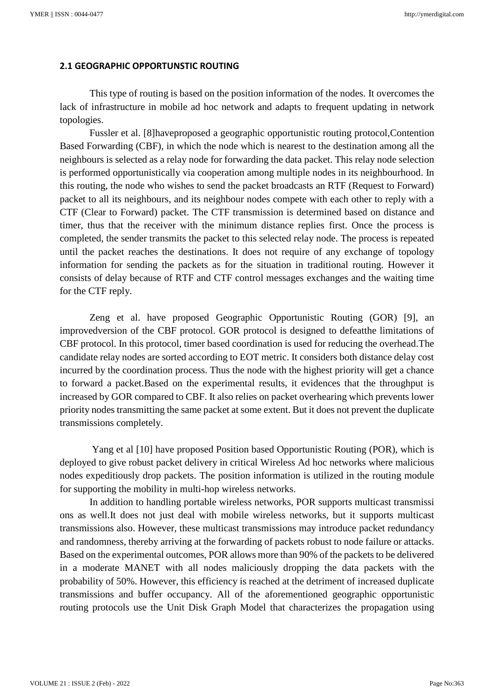#### **2.1 GEOGRAPHIC OPPORTUNSTIC ROUTING**

This type of routing is based on the position information of the nodes. It overcomes the lack of infrastructure in mobile ad hoc network and adapts to frequent updating in network topologies.

Fussler et al. [8]haveproposed a geographic opportunistic routing protocol,Contention Based Forwarding (CBF), in which the node which is nearest to the destination among all the neighbours is selected as a relay node for forwarding the data packet. This relay node selection is performed opportunistically via cooperation among multiple nodes in its neighbourhood. In this routing, the node who wishes to send the packet broadcasts an RTF (Request to Forward) packet to all its neighbours, and its neighbour nodes compete with each other to reply with a CTF (Clear to Forward) packet. The CTF transmission is determined based on distance and timer, thus that the receiver with the minimum distance replies first. Once the process is completed, the sender transmits the packet to this selected relay node. The process is repeated until the packet reaches the destinations. It does not require of any exchange of topology information for sending the packets as for the situation in traditional routing. However it consists of delay because of RTF and CTF control messages exchanges and the waiting time for the CTF reply.

Zeng et al. have proposed Geographic Opportunistic Routing (GOR) [9], an improvedversion of the CBF protocol. GOR protocol is designed to defeatthe limitations of CBF protocol. In this protocol, timer based coordination is used for reducing the overhead.The candidate relay nodes are sorted according to EOT metric. It considers both distance delay cost incurred by the coordination process. Thus the node with the highest priority will get a chance to forward a packet.Based on the experimental results, it evidences that the throughput is increased by GOR compared to CBF. It also relies on packet overhearing which prevents lower priority nodes transmitting the same packet at some extent. But it does not prevent the duplicate transmissions completely.

Yang et al [10] have proposed Position based Opportunistic Routing (POR), which is deployed to give robust packet delivery in critical Wireless Ad hoc networks where malicious nodes expeditiously drop packets. The position information is utilized in the routing module for supporting the mobility in multi-hop wireless networks.

In addition to handling portable wireless networks, POR supports multicast transmissi ons as well.It does not just deal with mobile wireless networks, but it supports multicast transmissions also. However, these multicast transmissions may introduce packet redundancy and randomness, thereby arriving at the forwarding of packets robust to node failure or attacks. Based on the experimental outcomes, POR allows more than 90% of the packets to be delivered in a moderate MANET with all nodes maliciously dropping the data packets with the probability of 50%. However, this efficiency is reached at the detriment of increased duplicate transmissions and buffer occupancy. All of the aforementioned geographic opportunistic routing protocols use the Unit Disk Graph Model that characterizes the propagation using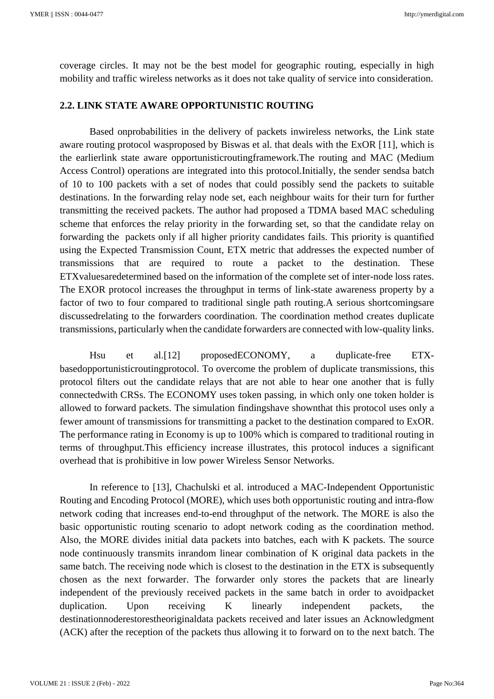coverage circles. It may not be the best model for geographic routing, especially in high mobility and traffic wireless networks as it does not take quality of service into consideration.

#### **2.2. LINK STATE AWARE OPPORTUNISTIC ROUTING**

Based onprobabilities in the delivery of packets inwireless networks, the Link state aware routing protocol wasproposed by Biswas et al. that deals with the ExOR [11], which is the earlierlink state aware opportunisticroutingframework.The routing and MAC (Medium Access Control) operations are integrated into this protocol.Initially, the sender sendsa batch of 10 to 100 packets with a set of nodes that could possibly send the packets to suitable destinations. In the forwarding relay node set, each neighbour waits for their turn for further transmitting the received packets. The author had proposed a TDMA based MAC scheduling scheme that enforces the relay priority in the forwarding set, so that the candidate relay on forwarding the packets only if all higher priority candidates fails. This priority is quantified using the Expected Transmission Count, ETX metric that addresses the expected number of transmissions that are required to route a packet to the destination. These ETXvaluesaredetermined based on the information of the complete set of inter-node loss rates. The EXOR protocol increases the throughput in terms of link-state awareness property by a factor of two to four compared to traditional single path routing.A serious shortcomingsare discussedrelating to the forwarders coordination. The coordination method creates duplicate transmissions, particularly when the candidate forwarders are connected with low-quality links.

Hsu et al.[12] proposedECONOMY, a duplicate-free ETXbasedopportunisticroutingprotocol. To overcome the problem of duplicate transmissions, this protocol filters out the candidate relays that are not able to hear one another that is fully connectedwith CRSs. The ECONOMY uses token passing, in which only one token holder is allowed to forward packets. The simulation findingshave shownthat this protocol uses only a fewer amount of transmissions for transmitting a packet to the destination compared to ExOR. The performance rating in Economy is up to 100% which is compared to traditional routing in terms of throughput.This efficiency increase illustrates, this protocol induces a significant overhead that is prohibitive in low power Wireless Sensor Networks.

In reference to [13], Chachulski et al. introduced a MAC-Independent Opportunistic Routing and Encoding Protocol (MORE), which uses both opportunistic routing and intra-flow network coding that increases end-to-end throughput of the network. The MORE is also the basic opportunistic routing scenario to adopt network coding as the coordination method. Also, the MORE divides initial data packets into batches, each with K packets. The source node continuously transmits inrandom linear combination of K original data packets in the same batch. The receiving node which is closest to the destination in the ETX is subsequently chosen as the next forwarder. The forwarder only stores the packets that are linearly independent of the previously received packets in the same batch in order to avoidpacket duplication. Upon receiving K linearly independent packets, the destinationnoderestorestheoriginaldata packets received and later issues an Acknowledgment (ACK) after the reception of the packets thus allowing it to forward on to the next batch. The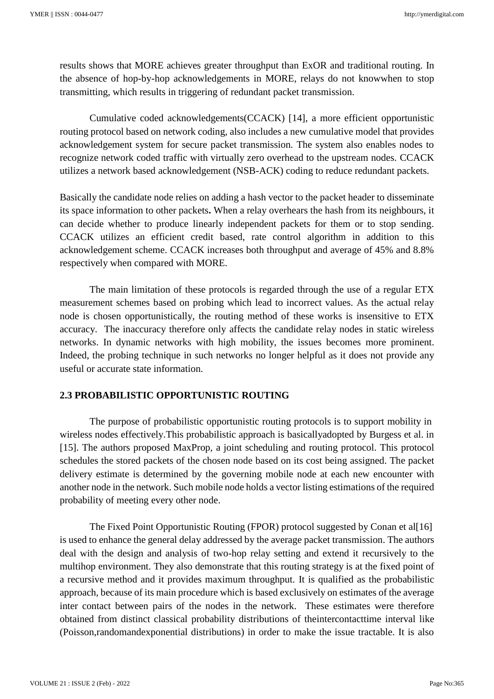results shows that MORE achieves greater throughput than ExOR and traditional routing. In the absence of hop-by-hop acknowledgements in MORE, relays do not knowwhen to stop transmitting, which results in triggering of redundant packet transmission.

Cumulative coded acknowledgements(CCACK) [14], a more efficient opportunistic routing protocol based on network coding, also includes a new cumulative model that provides acknowledgement system for secure packet transmission. The system also enables nodes to recognize network coded traffic with virtually zero overhead to the upstream nodes. CCACK utilizes a network based acknowledgement (NSB-ACK) coding to reduce redundant packets.

Basically the candidate node relies on adding a hash vector to the packet header to disseminate its space information to other packets**.** When a relay overhears the hash from its neighbours, it can decide whether to produce linearly independent packets for them or to stop sending. CCACK utilizes an efficient credit based, rate control algorithm in addition to this acknowledgement scheme. CCACK increases both throughput and average of 45% and 8.8% respectively when compared with MORE.

The main limitation of these protocols is regarded through the use of a regular ETX measurement schemes based on probing which lead to incorrect values. As the actual relay node is chosen opportunistically, the routing method of these works is insensitive to ETX accuracy. The inaccuracy therefore only affects the candidate relay nodes in static wireless networks. In dynamic networks with high mobility, the issues becomes more prominent. Indeed, the probing technique in such networks no longer helpful as it does not provide any useful or accurate state information.

#### **2.3 PROBABILISTIC OPPORTUNISTIC ROUTING**

The purpose of probabilistic opportunistic routing protocols is to support mobility in wireless nodes effectively.This probabilistic approach is basicallyadopted by Burgess et al. in [15]. The authors proposed MaxProp, a joint scheduling and routing protocol. This protocol schedules the stored packets of the chosen node based on its cost being assigned. The packet delivery estimate is determined by the governing mobile node at each new encounter with another node in the network. Such mobile node holds a vector listing estimations of the required probability of meeting every other node.

The Fixed Point Opportunistic Routing (FPOR) protocol suggested by Conan et al[16] is used to enhance the general delay addressed by the average packet transmission. The authors deal with the design and analysis of two-hop relay setting and extend it recursively to the multihop environment. They also demonstrate that this routing strategy is at the fixed point of a recursive method and it provides maximum throughput. It is qualified as the probabilistic approach, because of its main procedure which is based exclusively on estimates of the average inter contact between pairs of the nodes in the network. These estimates were therefore obtained from distinct classical probability distributions of theintercontacttime interval like (Poisson,randomandexponential distributions) in order to make the issue tractable. It is also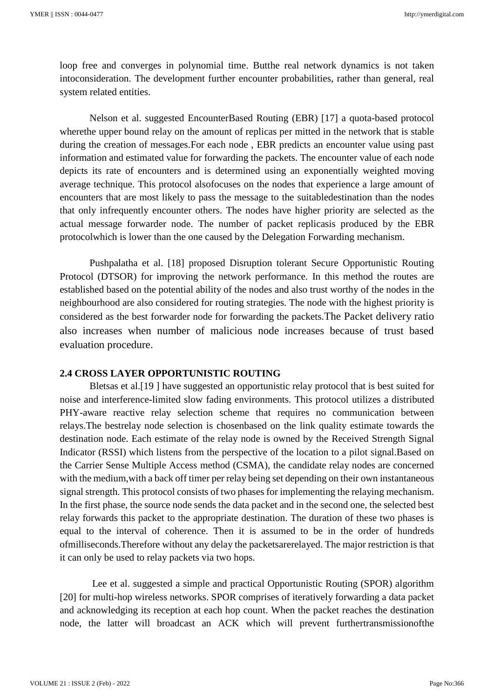loop free and converges in polynomial time. Butthe real network dynamics is not taken intoconsideration. The development further encounter probabilities, rather than general, real system related entities.

Nelson et al. suggested EncounterBased Routing (EBR) [17] a quota-based protocol wherethe upper bound relay on the amount of replicas per mitted in the network that is stable during the creation of messages.For each node , EBR predicts an encounter value using past information and estimated value for forwarding the packets. The encounter value of each node depicts its rate of encounters and is determined using an exponentially weighted moving average technique. This protocol alsofocuses on the nodes that experience a large amount of encounters that are most likely to pass the message to the suitabledestination than the nodes that only infrequently encounter others. The nodes have higher priority are selected as the actual message forwarder node. The number of packet replicasis produced by the EBR protocolwhich is lower than the one caused by the Delegation Forwarding mechanism.

Pushpalatha et al. [18] proposed Disruption tolerant Secure Opportunistic Routing Protocol (DTSOR) for improving the network performance. In this method the routes are established based on the potential ability of the nodes and also trust worthy of the nodes in the neighbourhood are also considered for routing strategies. The node with the highest priority is considered as the best forwarder node for forwarding the packets.The Packet delivery ratio also increases when number of malicious node increases because of trust based evaluation procedure.

#### **2.4 CROSS LAYER OPPORTUNISTIC ROUTING**

Bletsas et al.[19 ] have suggested an opportunistic relay protocol that is best suited for noise and interference-limited slow fading environments. This protocol utilizes a distributed PHY-aware reactive relay selection scheme that requires no communication between relays.The bestrelay node selection is chosenbased on the link quality estimate towards the destination node. Each estimate of the relay node is owned by the Received Strength Signal Indicator (RSSI) which listens from the perspective of the location to a pilot signal.Based on the Carrier Sense Multiple Access method (CSMA), the candidate relay nodes are concerned with the medium, with a back off timer per relay being set depending on their own instantaneous signal strength. This protocol consists of two phases for implementing the relaying mechanism. In the first phase, the source node sends the data packet and in the second one, the selected best relay forwards this packet to the appropriate destination. The duration of these two phases is equal to the interval of coherence. Then it is assumed to be in the order of hundreds ofmilliseconds.Therefore without any delay the packetsarerelayed. The major restriction is that it can only be used to relay packets via two hops.

Lee et al. suggested a simple and practical Opportunistic Routing (SPOR) algorithm [20] for multi-hop wireless networks. SPOR comprises of iteratively forwarding a data packet and acknowledging its reception at each hop count. When the packet reaches the destination node, the latter will broadcast an ACK which will prevent furthertransmissionofthe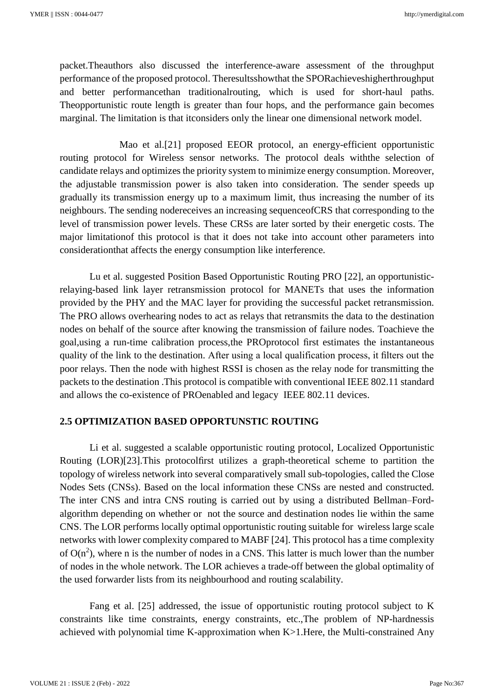packet.Theauthors also discussed the interference-aware assessment of the throughput performance of the proposed protocol. Theresultsshowthat the SPORachieveshigherthroughput and better performancethan traditionalrouting, which is used for short-haul paths. Theopportunistic route length is greater than four hops, and the performance gain becomes marginal. The limitation is that itconsiders only the linear one dimensional network model.

Mao et al.[21] proposed EEOR protocol, an energy-efficient opportunistic routing protocol for Wireless sensor networks. The protocol deals withthe selection of candidate relays and optimizes the priority system to minimize energy consumption. Moreover, the adjustable transmission power is also taken into consideration. The sender speeds up gradually its transmission energy up to a maximum limit, thus increasing the number of its neighbours. The sending nodereceives an increasing sequenceofCRS that corresponding to the level of transmission power levels. These CRSs are later sorted by their energetic costs. The major limitationof this protocol is that it does not take into account other parameters into considerationthat affects the energy consumption like interference.

Lu et al. suggested Position Based Opportunistic Routing PRO [22], an opportunisticrelaying-based link layer retransmission protocol for MANETs that uses the information provided by the PHY and the MAC layer for providing the successful packet retransmission. The PRO allows overhearing nodes to act as relays that retransmits the data to the destination nodes on behalf of the source after knowing the transmission of failure nodes. Toachieve the goal,using a run-time calibration process,the PROprotocol first estimates the instantaneous quality of the link to the destination. After using a local qualification process, it filters out the poor relays. Then the node with highest RSSI is chosen as the relay node for transmitting the packets to the destination .This protocol is compatible with conventional IEEE 802.11 standard and allows the co-existence of PROenabled and legacy IEEE 802.11 devices.

#### **2.5 OPTIMIZATION BASED OPPORTUNSTIC ROUTING**

Li et al. suggested a scalable opportunistic routing protocol, Localized Opportunistic Routing (LOR)[23].This protocolfirst utilizes a graph-theoretical scheme to partition the topology of wireless network into several comparatively small sub-topologies, called the Close Nodes Sets (CNSs). Based on the local information these CNSs are nested and constructed. The inter CNS and intra CNS routing is carried out by using a distributed Bellman–Fordalgorithm depending on whether or not the source and destination nodes lie within the same CNS. The LOR performs locally optimal opportunistic routing suitable for wireless large scale networks with lower complexity compared to MABF [24]. This protocol has a time complexity of  $O(n^2)$ , where n is the number of nodes in a CNS. This latter is much lower than the number of nodes in the whole network. The LOR achieves a trade-off between the global optimality of the used forwarder lists from its neighbourhood and routing scalability.

Fang et al. [25] addressed, the issue of opportunistic routing protocol subject to K constraints like time constraints, energy constraints, etc.,The problem of NP-hardnessis achieved with polynomial time K-approximation when K>1.Here, the Multi-constrained Any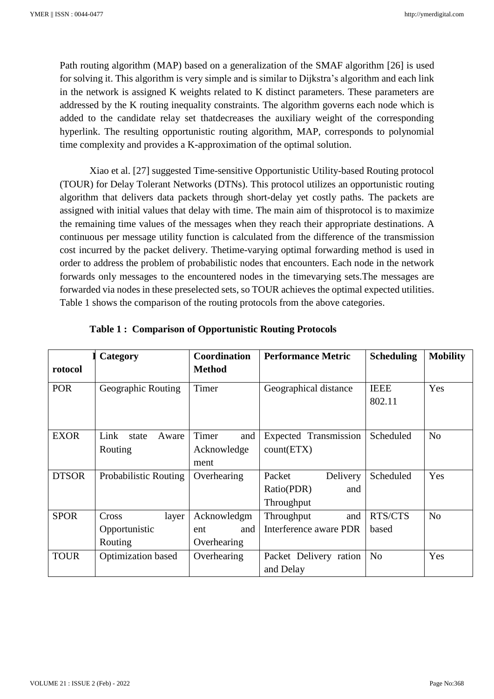Path routing algorithm (MAP) based on a generalization of the SMAF algorithm [26] is used for solving it. This algorithm is very simple and is similar to Dijkstra's algorithm and each link in the network is assigned K weights related to K distinct parameters. These parameters are addressed by the K routing inequality constraints. The algorithm governs each node which is added to the candidate relay set thatdecreases the auxiliary weight of the corresponding hyperlink. The resulting opportunistic routing algorithm, MAP, corresponds to polynomial time complexity and provides a K-approximation of the optimal solution.

Xiao et al. [27] suggested Time-sensitive Opportunistic Utility-based Routing protocol (TOUR) for Delay Tolerant Networks (DTNs). This protocol utilizes an opportunistic routing algorithm that delivers data packets through short-delay yet costly paths. The packets are assigned with initial values that delay with time. The main aim of thisprotocol is to maximize the remaining time values of the messages when they reach their appropriate destinations. A continuous per message utility function is calculated from the difference of the transmission cost incurred by the packet delivery. Thetime-varying optimal forwarding method is used in order to address the problem of probabilistic nodes that encounters. Each node in the network forwards only messages to the encountered nodes in the timevarying sets.The messages are forwarded via nodes in these preselected sets, so TOUR achieves the optimal expected utilities. Table 1 shows the comparison of the routing protocols from the above categories.

|              | Category                  | Coordination  | <b>Performance Metric</b> | <b>Scheduling</b> | <b>Mobility</b> |
|--------------|---------------------------|---------------|---------------------------|-------------------|-----------------|
| rotocol      |                           | <b>Method</b> |                           |                   |                 |
| <b>POR</b>   | Geographic Routing        | Timer         | Geographical distance     | <b>IEEE</b>       | Yes             |
|              |                           |               |                           | 802.11            |                 |
|              |                           |               |                           |                   |                 |
| <b>EXOR</b>  | Link<br>Aware<br>state    | Timer<br>and  | Expected Transmission     | Scheduled         | N <sub>o</sub>  |
|              | Routing                   | Acknowledge   | count(ETX)                |                   |                 |
|              |                           | ment          |                           |                   |                 |
| <b>DTSOR</b> | Probabilistic Routing     | Overhearing   | Packet<br>Delivery        | Scheduled         | Yes             |
|              |                           |               | Ratio(PDR)<br>and         |                   |                 |
|              |                           |               | Throughput                |                   |                 |
| <b>SPOR</b>  | Cross<br>layer            | Acknowledgm   | Throughput<br>and         | RTS/CTS           | N <sub>o</sub>  |
|              | Opportunistic             | and<br>ent    | Interference aware PDR    | based             |                 |
|              | Routing                   | Overhearing   |                           |                   |                 |
| <b>TOUR</b>  | <b>Optimization</b> based | Overhearing   | Packet Delivery ration    | N <sub>o</sub>    | Yes             |
|              |                           |               | and Delay                 |                   |                 |

|  |  |  |  | <b>Table 1: Comparison of Opportunistic Routing Protocols</b> |
|--|--|--|--|---------------------------------------------------------------|
|--|--|--|--|---------------------------------------------------------------|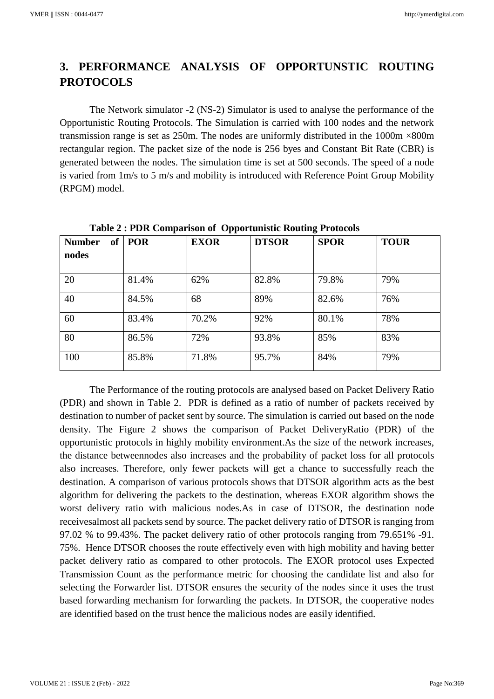# **3. PERFORMANCE ANALYSIS OF OPPORTUNSTIC ROUTING PROTOCOLS**

The Network simulator -2 (NS-2) Simulator is used to analyse the performance of the Opportunistic Routing Protocols. The Simulation is carried with 100 nodes and the network transmission range is set as 250m. The nodes are uniformly distributed in the 1000m ×800m rectangular region. The packet size of the node is 256 byes and Constant Bit Rate (CBR) is generated between the nodes. The simulation time is set at 500 seconds. The speed of a node is varied from 1m/s to 5 m/s and mobility is introduced with Reference Point Group Mobility (RPGM) model.

| $\frac{1}{2}$ . The strategy of $\frac{1}{2}$ is the position of $\frac{1}{2}$ is the strategy $\frac{1}{2}$ . The strategy of $\frac{1}{2}$<br><b>POR</b><br><b>EXOR</b><br><b>SPOR</b><br><b>TOUR</b> |       |       |              |       |     |  |  |  |
|---------------------------------------------------------------------------------------------------------------------------------------------------------------------------------------------------------|-------|-------|--------------|-------|-----|--|--|--|
| of<br><b>Number</b>                                                                                                                                                                                     |       |       | <b>DTSOR</b> |       |     |  |  |  |
| nodes                                                                                                                                                                                                   |       |       |              |       |     |  |  |  |
|                                                                                                                                                                                                         |       |       |              |       |     |  |  |  |
| 20                                                                                                                                                                                                      | 81.4% | 62%   | 82.8%        | 79.8% | 79% |  |  |  |
| 40                                                                                                                                                                                                      | 84.5% | 68    | 89%          | 82.6% | 76% |  |  |  |
| 60                                                                                                                                                                                                      | 83.4% | 70.2% | 92%          | 80.1% | 78% |  |  |  |
| 80                                                                                                                                                                                                      | 86.5% | 72%   | 93.8%        | 85%   | 83% |  |  |  |
| 100                                                                                                                                                                                                     | 85.8% | 71.8% | 95.7%        | 84%   | 79% |  |  |  |

**Table 2 : PDR Comparison of Opportunistic Routing Protocols**

The Performance of the routing protocols are analysed based on Packet Delivery Ratio (PDR) and shown in Table 2. PDR is defined as a ratio of number of packets received by destination to number of packet sent by source. The simulation is carried out based on the node density. The Figure 2 shows the comparison of Packet DeliveryRatio (PDR) of the opportunistic protocols in highly mobility environment.As the size of the network increases, the distance betweennodes also increases and the probability of packet loss for all protocols also increases. Therefore, only fewer packets will get a chance to successfully reach the destination. A comparison of various protocols shows that DTSOR algorithm acts as the best algorithm for delivering the packets to the destination, whereas EXOR algorithm shows the worst delivery ratio with malicious nodes.As in case of DTSOR, the destination node receivesalmost all packets send by source. The packet delivery ratio of DTSOR is ranging from 97.02 % to 99.43%. The packet delivery ratio of other protocols ranging from 79.651% -91. 75%. Hence DTSOR chooses the route effectively even with high mobility and having better packet delivery ratio as compared to other protocols. The EXOR protocol uses Expected Transmission Count as the performance metric for choosing the candidate list and also for selecting the Forwarder list. DTSOR ensures the security of the nodes since it uses the trust based forwarding mechanism for forwarding the packets. In DTSOR, the cooperative nodes are identified based on the trust hence the malicious nodes are easily identified.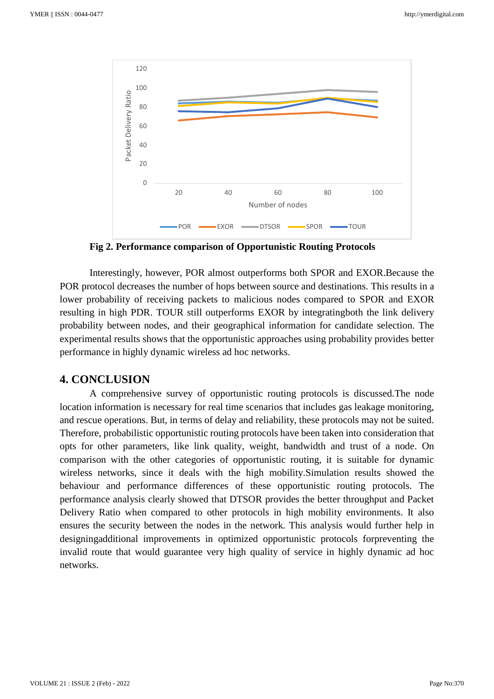

**Fig 2. Performance comparison of Opportunistic Routing Protocols** 

Interestingly, however, POR almost outperforms both SPOR and EXOR.Because the POR protocol decreases the number of hops between source and destinations. This results in a lower probability of receiving packets to malicious nodes compared to SPOR and EXOR resulting in high PDR. TOUR still outperforms EXOR by integratingboth the link delivery probability between nodes, and their geographical information for candidate selection. The experimental results shows that the opportunistic approaches using probability provides better performance in highly dynamic wireless ad hoc networks.

## **4. CONCLUSION**

A comprehensive survey of opportunistic routing protocols is discussed.The node location information is necessary for real time scenarios that includes gas leakage monitoring, and rescue operations. But, in terms of delay and reliability, these protocols may not be suited. Therefore, probabilistic opportunistic routing protocols have been taken into consideration that opts for other parameters, like link quality, weight, bandwidth and trust of a node. On comparison with the other categories of opportunistic routing, it is suitable for dynamic wireless networks, since it deals with the high mobility.Simulation results showed the behaviour and performance differences of these opportunistic routing protocols. The performance analysis clearly showed that DTSOR provides the better throughput and Packet Delivery Ratio when compared to other protocols in high mobility environments. It also ensures the security between the nodes in the network. This analysis would further help in designingadditional improvements in optimized opportunistic protocols forpreventing the invalid route that would guarantee very high quality of service in highly dynamic ad hoc networks.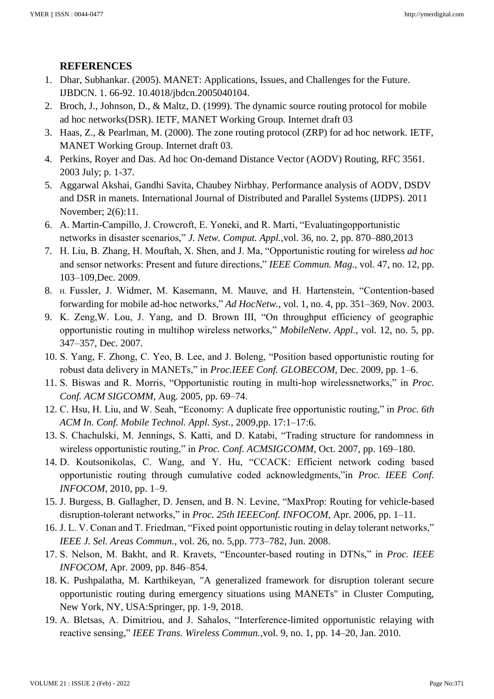# **REFERENCES**

- 1. Dhar, Subhankar. (2005). MANET: Applications, Issues, and Challenges for the Future. IJBDCN. 1. 66-92. 10.4018/jbdcn.2005040104.
- 2. Broch, J., Johnson, D., & Maltz, D. (1999). The dynamic source routing protocol for mobile ad hoc networks(DSR). IETF, MANET Working Group. Internet draft 03
- 3. Haas, Z., & Pearlman, M. (2000). The zone routing protocol (ZRP) for ad hoc network. IETF, MANET Working Group. Internet draft 03.
- 4. Perkins, Royer and Das. Ad hoc On-demand Distance Vector (AODV) Routing, RFC 3561. 2003 July; p. 1-37.
- 5. Aggarwal Akshai, Gandhi Savita, Chaubey Nirbhay. Performance analysis of AODV, DSDV and DSR in manets. International Journal of Distributed and Parallel Systems (IJDPS). 2011 November; 2(6):11.
- 6. A. Martin-Campillo, J. Crowcroft, E. Yoneki, and R. Marti, "Evaluatingopportunistic networks in disaster scenarios," *J. Netw. Comput. Appl.*,vol. 36, no. 2, pp. 870–880,2013
- 7. H. Liu, B. Zhang, H. Mouftah, X. Shen, and J. Ma, "Opportunistic routing for wireless *ad hoc*  and sensor networks: Present and future directions," *IEEE Commun. Mag.*, vol. 47, no. 12, pp. 103–109,Dec. 2009.
- 8. H. Fussler, J. Widmer, M. Kasemann, M. Mauve, and H. Hartenstein, "Contention-based forwarding for mobile ad-hoc networks," *Ad HocNetw.*, vol. 1, no. 4, pp. 351–369, Nov. 2003.
- 9. K. Zeng,W. Lou, J. Yang, and D. Brown III, "On throughput efficiency of geographic opportunistic routing in multihop wireless networks," *MobileNetw. Appl.*, vol. 12, no. 5, pp. 347–357, Dec. 2007.
- 10. S. Yang, F. Zhong, C. Yeo, B. Lee, and J. Boleng, "Position based opportunistic routing for robust data delivery in MANETs," in *Proc.IEEE Conf. GLOBECOM*, Dec. 2009, pp. 1–6.
- 11. S. Biswas and R. Morris, "Opportunistic routing in multi-hop wirelessnetworks," in *Proc. Conf. ACM SIGCOMM*, Aug. 2005, pp. 69–74.
- 12. C. Hsu, H. Liu, and W. Seah, "Economy: A duplicate free opportunistic routing," in *Proc. 6th ACM In. Conf. Mobile Technol. Appl. Syst.*, 2009,pp. 17:1–17:6.
- 13. S. Chachulski, M. Jennings, S. Katti, and D. Katabi, "Trading structure for randomness in wireless opportunistic routing," in *Proc. Conf. ACMSIGCOMM*, Oct. 2007, pp. 169–180.
- 14. D. Koutsonikolas, C. Wang, and Y. Hu, "CCACK: Efficient network coding based opportunistic routing through cumulative coded acknowledgments,"in *Proc. IEEE Conf. INFOCOM*, 2010, pp. 1–9.
- 15. J. Burgess, B. Gallagher, D. Jensen, and B. N. Levine, "MaxProp: Routing for vehicle-based disruption-tolerant networks," in *Proc. 25th IEEEConf. INFOCOM*, Apr. 2006, pp. 1–11.
- 16. J. L. V. Conan and T. Friedman, "Fixed point opportunistic routing in delay tolerant networks," *IEEE J. Sel. Areas Commun.*, vol. 26, no. 5,pp. 773–782, Jun. 2008.
- 17. S. Nelson, M. Bakht, and R. Kravets, "Encounter-based routing in DTNs," in *Proc. IEEE INFOCOM*, Apr. 2009, pp. 846–854.
- 18. K. Pushpalatha, M. Karthikeyan, "A generalized framework for disruption tolerant secure opportunistic routing during emergency situations using MANETs" in Cluster Computing, New York, NY, USA:Springer, pp. 1-9, 2018.
- 19. A. Bletsas, A. Dimitriou, and J. Sahalos, "Interference-limited opportunistic relaying with reactive sensing," *IEEE Trans. Wireless Commun.*,vol. 9, no. 1, pp. 14–20, Jan. 2010.